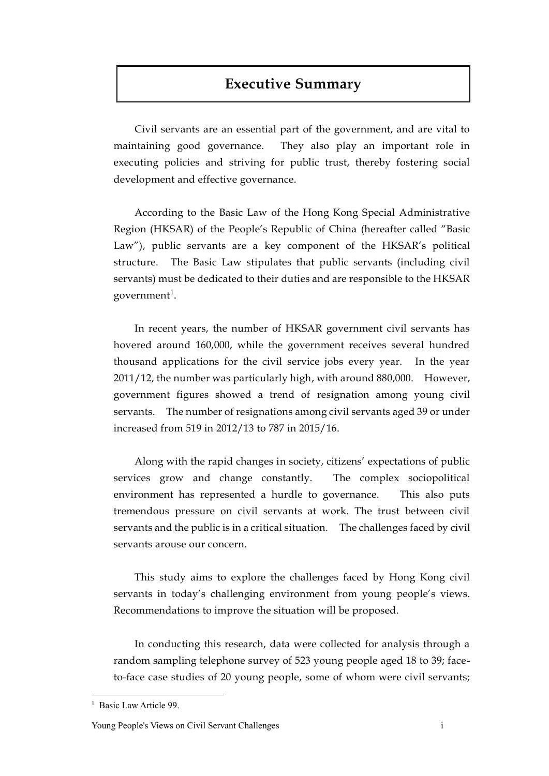# **Executive Summary**

Civil servants are an essential part of the government, and are vital to maintaining good governance. They also play an important role in executing policies and striving for public trust, thereby fostering social development and effective governance.

According to the Basic Law of the Hong Kong Special Administrative Region (HKSAR) of the People's Republic of China (hereafter called "Basic Law"), public servants are a key component of the HKSAR's political structure. The Basic Law stipulates that public servants (including civil servants) must be dedicated to their duties and are responsible to the HKSAR government<sup>1</sup>.

In recent years, the number of HKSAR government civil servants has hovered around 160,000, while the government receives several hundred thousand applications for the civil service jobs every year. In the year 2011/12, the number was particularly high, with around 880,000. However, government figures showed a trend of resignation among young civil servants. The number of resignations among civil servants aged 39 or under increased from 519 in 2012/13 to 787 in 2015/16.

Along with the rapid changes in society, citizens' expectations of public services grow and change constantly. The complex sociopolitical environment has represented a hurdle to governance. This also puts tremendous pressure on civil servants at work. The trust between civil servants and the public is in a critical situation. The challenges faced by civil servants arouse our concern.

This study aims to explore the challenges faced by Hong Kong civil servants in today's challenging environment from young people's views. Recommendations to improve the situation will be proposed.

In conducting this research, data were collected for analysis through a random sampling telephone survey of 523 young people aged 18 to 39; faceto-face case studies of 20 young people, some of whom were civil servants;

 $\overline{a}$ 

<sup>&</sup>lt;sup>1</sup> Basic Law Article 99.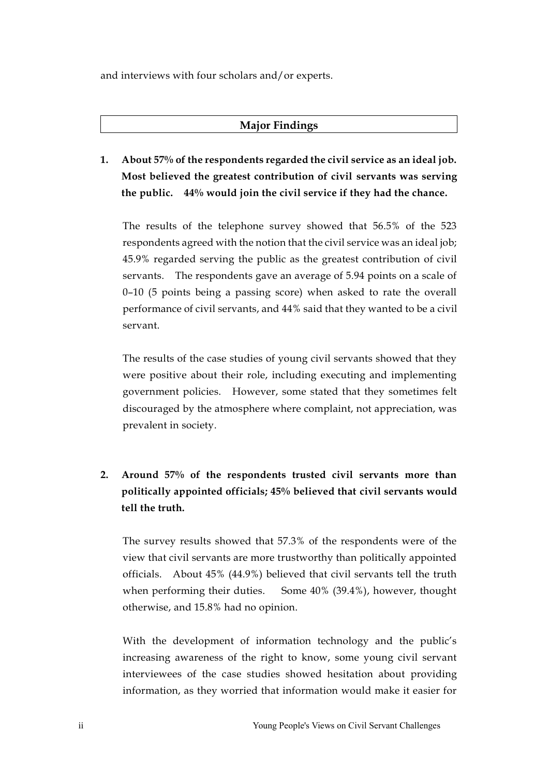and interviews with four scholars and/or experts.

#### **Major Findings**

**1. About 57% of the respondents regarded the civil service as an ideal job. Most believed the greatest contribution of civil servants was serving the public. 44% would join the civil service if they had the chance.**

The results of the telephone survey showed that 56.5% of the 523 respondents agreed with the notion that the civil service was an ideal job; 45.9% regarded serving the public as the greatest contribution of civil servants. The respondents gave an average of 5.94 points on a scale of 0–10 (5 points being a passing score) when asked to rate the overall performance of civil servants, and 44% said that they wanted to be a civil servant.

The results of the case studies of young civil servants showed that they were positive about their role, including executing and implementing government policies. However, some stated that they sometimes felt discouraged by the atmosphere where complaint, not appreciation, was prevalent in society.

## **2. Around 57% of the respondents trusted civil servants more than politically appointed officials; 45% believed that civil servants would tell the truth.**

The survey results showed that 57.3% of the respondents were of the view that civil servants are more trustworthy than politically appointed officials. About 45% (44.9%) believed that civil servants tell the truth when performing their duties. Some 40% (39.4%), however, thought otherwise, and 15.8% had no opinion.

With the development of information technology and the public's increasing awareness of the right to know, some young civil servant interviewees of the case studies showed hesitation about providing information, as they worried that information would make it easier for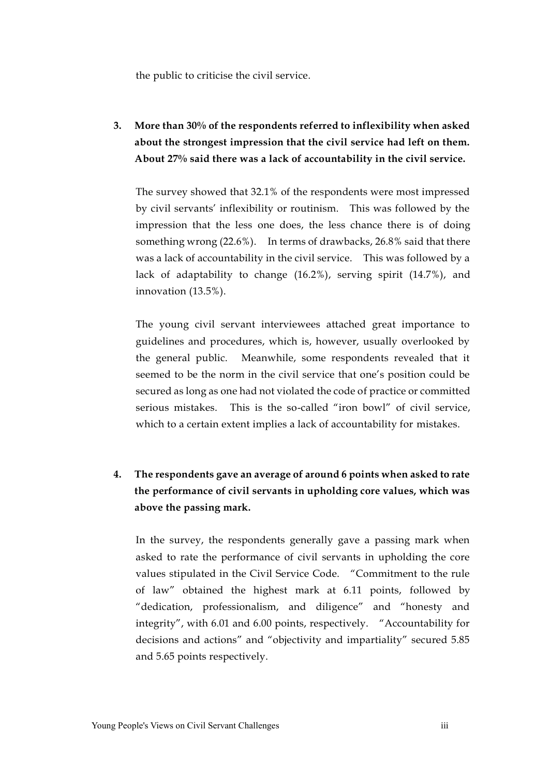the public to criticise the civil service.

**3. More than 30% of the respondents referred to inflexibility when asked about the strongest impression that the civil service had left on them. About 27% said there was a lack of accountability in the civil service.** 

The survey showed that 32.1% of the respondents were most impressed by civil servants' inflexibility or routinism. This was followed by the impression that the less one does, the less chance there is of doing something wrong (22.6%). In terms of drawbacks, 26.8% said that there was a lack of accountability in the civil service. This was followed by a lack of adaptability to change (16.2%), serving spirit (14.7%), and innovation (13.5%).

The young civil servant interviewees attached great importance to guidelines and procedures, which is, however, usually overlooked by the general public. Meanwhile, some respondents revealed that it seemed to be the norm in the civil service that one's position could be secured as long as one had not violated the code of practice or committed serious mistakes. This is the so-called "iron bowl" of civil service, which to a certain extent implies a lack of accountability for mistakes.

## **4. The respondents gave an average of around 6 points when asked to rate the performance of civil servants in upholding core values, which was above the passing mark.**

In the survey, the respondents generally gave a passing mark when asked to rate the performance of civil servants in upholding the core values stipulated in the Civil Service Code. "Commitment to the rule of law" obtained the highest mark at 6.11 points, followed by "dedication, professionalism, and diligence" and "honesty and integrity", with 6.01 and 6.00 points, respectively. "Accountability for decisions and actions" and "objectivity and impartiality" secured 5.85 and 5.65 points respectively.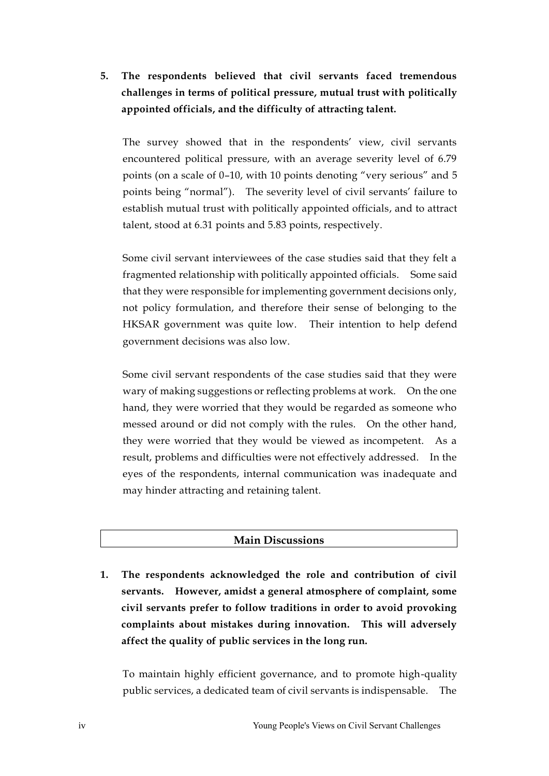### **5. The respondents believed that civil servants faced tremendous challenges in terms of political pressure, mutual trust with politically appointed officials, and the difficulty of attracting talent.**

The survey showed that in the respondents' view, civil servants encountered political pressure, with an average severity level of 6.79 points (on a scale of 0–10, with 10 points denoting "very serious" and 5 points being "normal"). The severity level of civil servants' failure to establish mutual trust with politically appointed officials, and to attract talent, stood at 6.31 points and 5.83 points, respectively.

Some civil servant interviewees of the case studies said that they felt a fragmented relationship with politically appointed officials. Some said that they were responsible for implementing government decisions only, not policy formulation, and therefore their sense of belonging to the HKSAR government was quite low. Their intention to help defend government decisions was also low.

Some civil servant respondents of the case studies said that they were wary of making suggestions or reflecting problems at work. On the one hand, they were worried that they would be regarded as someone who messed around or did not comply with the rules. On the other hand, they were worried that they would be viewed as incompetent. As a result, problems and difficulties were not effectively addressed. In the eyes of the respondents, internal communication was inadequate and may hinder attracting and retaining talent.

#### **Main Discussions**

**1. The respondents acknowledged the role and contribution of civil servants. However, amidst a general atmosphere of complaint, some civil servants prefer to follow traditions in order to avoid provoking complaints about mistakes during innovation. This will adversely affect the quality of public services in the long run.** 

To maintain highly efficient governance, and to promote high-quality public services, a dedicated team of civil servants is indispensable. The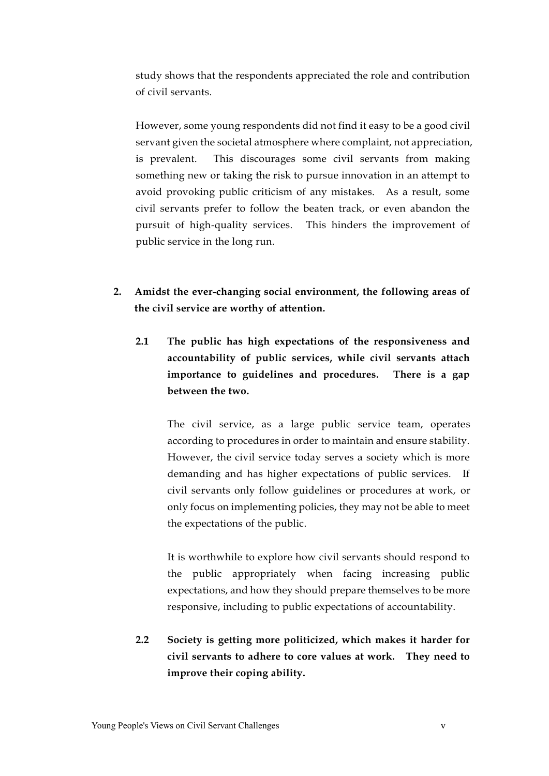study shows that the respondents appreciated the role and contribution of civil servants.

However, some young respondents did not find it easy to be a good civil servant given the societal atmosphere where complaint, not appreciation, is prevalent. This discourages some civil servants from making something new or taking the risk to pursue innovation in an attempt to avoid provoking public criticism of any mistakes. As a result, some civil servants prefer to follow the beaten track, or even abandon the pursuit of high-quality services. This hinders the improvement of public service in the long run.

- **2. Amidst the ever-changing social environment, the following areas of the civil service are worthy of attention.**
	- **2.1 The public has high expectations of the responsiveness and accountability of public services, while civil servants attach importance to guidelines and procedures. There is a gap between the two.**

The civil service, as a large public service team, operates according to procedures in order to maintain and ensure stability. However, the civil service today serves a society which is more demanding and has higher expectations of public services. If civil servants only follow guidelines or procedures at work, or only focus on implementing policies, they may not be able to meet the expectations of the public.

It is worthwhile to explore how civil servants should respond to the public appropriately when facing increasing public expectations, and how they should prepare themselves to be more responsive, including to public expectations of accountability.

**2.2 Society is getting more politicized, which makes it harder for civil servants to adhere to core values at work. They need to improve their coping ability.**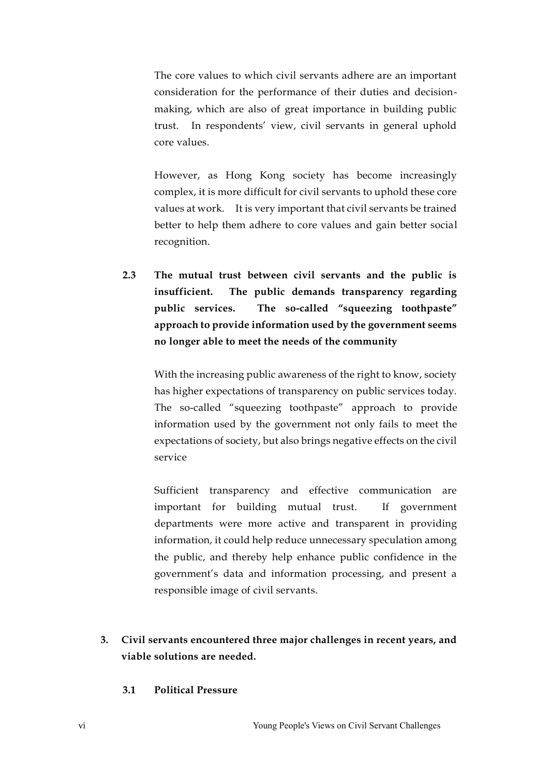The core values to which civil servants adhere are an important consideration for the performance of their duties and decisionmaking, which are also of great importance in building public trust. In respondents' view, civil servants in general uphold core values.

However, as Hong Kong society has become increasingly complex, it is more difficult for civil servants to uphold these core values at work. It is very important that civil servants be trained better to help them adhere to core values and gain better social recognition.

**2.3 The mutual trust between civil servants and the public is insufficient. The public demands transparency regarding public services. The so-called "squeezing toothpaste" approach to provide information used by the government seems no longer able to meet the needs of the community**

With the increasing public awareness of the right to know, society has higher expectations of transparency on public services today. The so-called "squeezing toothpaste" approach to provide information used by the government not only fails to meet the expectations of society, but also brings negative effects on the civil service

Sufficient transparency and effective communication are important for building mutual trust. If government departments were more active and transparent in providing information, it could help reduce unnecessary speculation among the public, and thereby help enhance public confidence in the government's data and information processing, and present a responsible image of civil servants.

- **3. Civil servants encountered three major challenges in recent years, and viable solutions are needed.** 
	- **3.1 Political Pressure**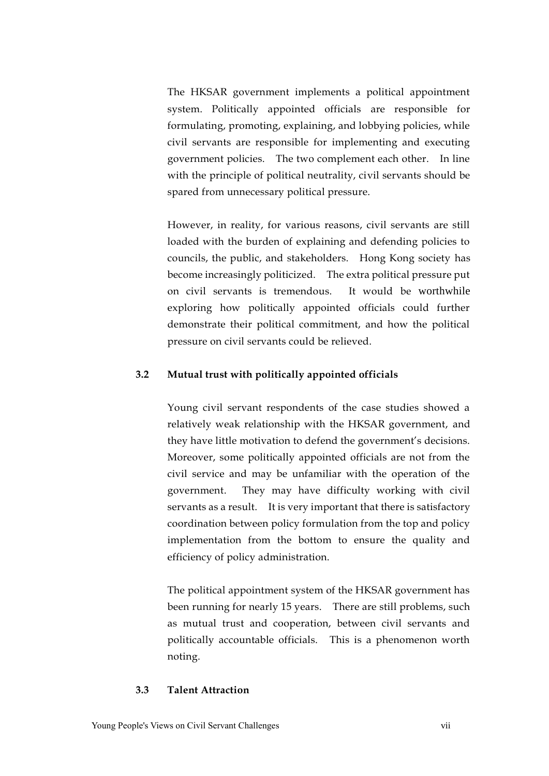The HKSAR government implements a political appointment system. Politically appointed officials are responsible for formulating, promoting, explaining, and lobbying policies, while civil servants are responsible for implementing and executing government policies. The two complement each other. In line with the principle of political neutrality, civil servants should be spared from unnecessary political pressure.

However, in reality, for various reasons, civil servants are still loaded with the burden of explaining and defending policies to councils, the public, and stakeholders. Hong Kong society has become increasingly politicized. The extra political pressure put on civil servants is tremendous. It would be worthwhile exploring how politically appointed officials could further demonstrate their political commitment, and how the political pressure on civil servants could be relieved.

#### **3.2 Mutual trust with politically appointed officials**

Young civil servant respondents of the case studies showed a relatively weak relationship with the HKSAR government, and they have little motivation to defend the government's decisions. Moreover, some politically appointed officials are not from the civil service and may be unfamiliar with the operation of the government. They may have difficulty working with civil servants as a result. It is very important that there is satisfactory coordination between policy formulation from the top and policy implementation from the bottom to ensure the quality and efficiency of policy administration.

The political appointment system of the HKSAR government has been running for nearly 15 years. There are still problems, such as mutual trust and cooperation, between civil servants and politically accountable officials. This is a phenomenon worth noting.

#### **3.3 Talent Attraction**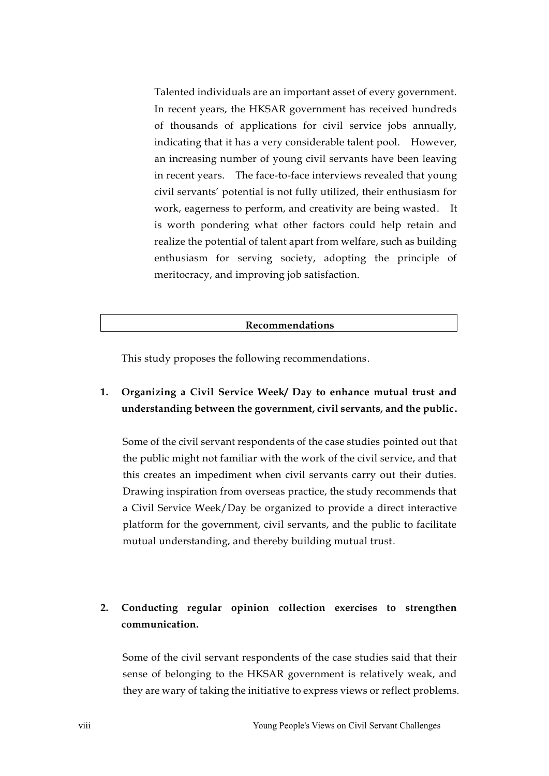Talented individuals are an important asset of every government. In recent years, the HKSAR government has received hundreds of thousands of applications for civil service jobs annually, indicating that it has a very considerable talent pool. However, an increasing number of young civil servants have been leaving in recent years. The face-to-face interviews revealed that young civil servants' potential is not fully utilized, their enthusiasm for work, eagerness to perform, and creativity are being wasted. It is worth pondering what other factors could help retain and realize the potential of talent apart from welfare, such as building enthusiasm for serving society, adopting the principle of meritocracy, and improving job satisfaction.

#### **Recommendations**

This study proposes the following recommendations.

### **1. Organizing a Civil Service Week/ Day to enhance mutual trust and understanding between the government, civil servants, and the public.**

Some of the civil servant respondents of the case studies pointed out that the public might not familiar with the work of the civil service, and that this creates an impediment when civil servants carry out their duties. Drawing inspiration from overseas practice, the study recommends that a Civil Service Week/Day be organized to provide a direct interactive platform for the government, civil servants, and the public to facilitate mutual understanding, and thereby building mutual trust.

### **2. Conducting regular opinion collection exercises to strengthen communication.**

Some of the civil servant respondents of the case studies said that their sense of belonging to the HKSAR government is relatively weak, and they are wary of taking the initiative to express views or reflect problems.